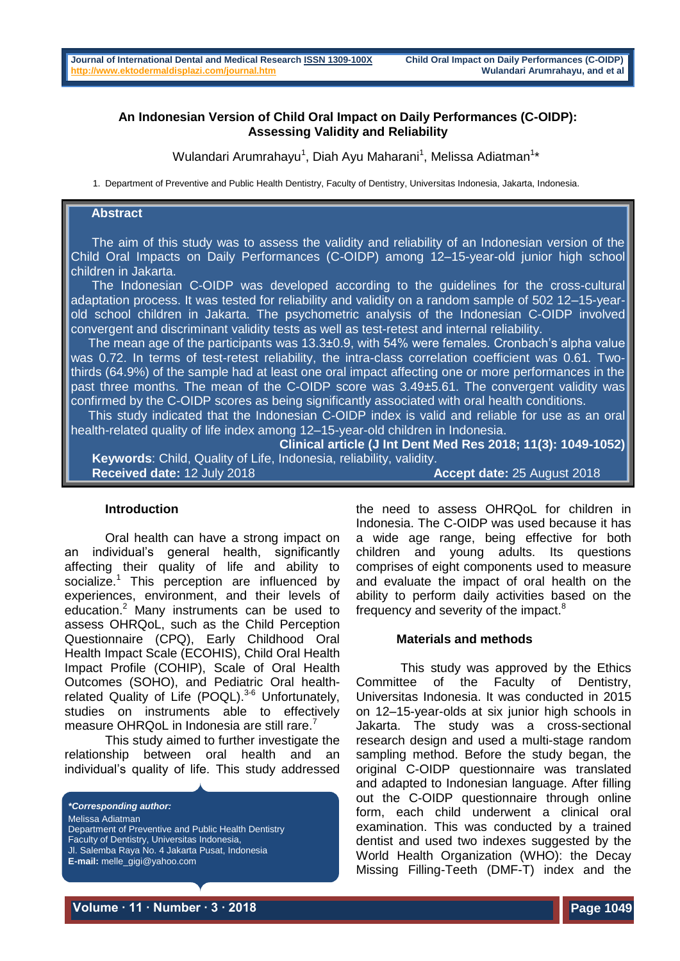# **An Indonesian Version of Child Oral Impact on Daily Performances (C-OIDP): Assessing Validity and Reliability**

Wulandari Arumrahayu<sup>1</sup>, Diah Ayu Maharani<sup>1</sup>, Melissa Adiatman<sup>1</sup>\*

1. Department of Preventive and Public Health Dentistry, Faculty of Dentistry, Universitas Indonesia, Jakarta, Indonesia.

# **Abstract**

 The aim of this study was to assess the validity and reliability of an Indonesian version of the Child Oral Impacts on Daily Performances (C-OIDP) among 12–15-year-old junior high school children in Jakarta.

 The Indonesian C-OIDP was developed according to the guidelines for the cross-cultural adaptation process. It was tested for reliability and validity on a random sample of 502 12–15-yearold school children in Jakarta. The psychometric analysis of the Indonesian C-OIDP involved convergent and discriminant validity tests as well as test-retest and internal reliability.

 The mean age of the participants was 13.3±0.9, with 54% were females. Cronbach's alpha value was 0.72. In terms of test-retest reliability, the intra-class correlation coefficient was 0.61. Twothirds (64.9%) of the sample had at least one oral impact affecting one or more performances in the past three months. The mean of the C-OIDP score was 3.49±5.61. The convergent validity was confirmed by the C-OIDP scores as being significantly associated with oral health conditions.

 This study indicated that the Indonesian C-OIDP index is valid and reliable for use as an oral health-related quality of life index among 12–15-year-old children in Indonesia.

**Clinical article (J Int Dent Med Res 2018; 11(3): 1049-1052) Keywords**: Child, Quality of Life, Indonesia, reliability, validity. **Accept date:** 25 August 2018

## **Introduction**

Oral health can have a strong impact on an individual's general health, significantly affecting their quality of life and ability to socialize.<sup>1</sup> This perception are influenced by experiences, environment, and their levels of education.<sup>2</sup> Many instruments can be used to assess OHRQoL, such as the Child Perception Questionnaire (CPQ), Early Childhood Oral Health Impact Scale (ECOHIS), Child Oral Health Impact Profile (COHIP), Scale of Oral Health Outcomes (SOHO), and Pediatric Oral healthrelated Quality of Life (POQL). $3-6$  Unfortunately, studies on instruments able to effectively measure OHRQoL in Indonesia are still rare.<sup>7</sup>

This study aimed to further investigate the relationship between oral health and an individual's quality of life. This study addressed

*\*Corresponding author:* Melissa Adiatman Department of Preventive and Public Health Dentistry Faculty of Dentistry, Universitas Indonesia, Jl. Salemba Raya No. 4 Jakarta Pusat, Indonesia **E-mail:** melle\_gigi@yahoo.com

the need to assess OHRQoL for children in Indonesia. The C-OIDP was used because it has a wide age range, being effective for both children and young adults. Its questions comprises of eight components used to measure and evaluate the impact of oral health on the ability to perform daily activities based on the frequency and severity of the impact.<sup>8</sup>

### **Materials and methods**

This study was approved by the Ethics Committee of the Faculty of Dentistry, Universitas Indonesia. It was conducted in 2015 on 12–15-year-olds at six junior high schools in Jakarta. The study was a cross-sectional research design and used a multi-stage random sampling method. Before the study began, the original C-OIDP questionnaire was translated and adapted to Indonesian language. After filling out the C-OIDP questionnaire through online form, each child underwent a clinical oral examination. This was conducted by a trained dentist and used two indexes suggested by the World Health Organization (WHO): the Decay Missing Filling-Teeth (DMF-T) index and the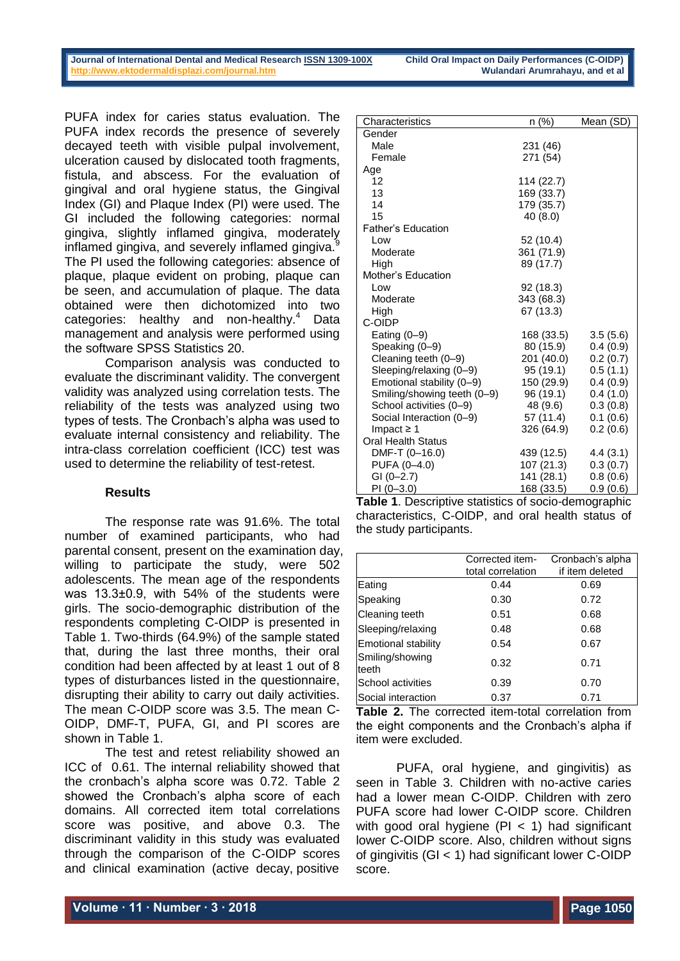#### **Journal of International Dental and Medical Research [ISSN 1309-100X](http://www.ektodermaldisplazi.com/dergi.htm) Child Oral Impact on Daily Performances (C-OIDP) http://www.ektodermaldisplazi.com/journal.htm**

PUFA index for caries status evaluation. The PUFA index records the presence of severely decayed teeth with visible pulpal involvement, ulceration caused by dislocated tooth fragments, fistula, and abscess. For the evaluation of gingival and oral hygiene status, the Gingival Index (GI) and Plaque Index (PI) were used. The GI included the following categories: normal gingiva, slightly inflamed gingiva, moderately inflamed gingiva, and severely inflamed gingiva.<sup>9</sup> The PI used the following categories: absence of plaque, plaque evident on probing, plaque can be seen, and accumulation of plaque. The data obtained were then dichotomized into two categories: healthy and non-healthy.<sup>4</sup> Data management and analysis were performed using the software SPSS Statistics 20.

Comparison analysis was conducted to evaluate the discriminant validity. The convergent validity was analyzed using correlation tests. The reliability of the tests was analyzed using two types of tests. The Cronbach's alpha was used to evaluate internal consistency and reliability. The intra-class correlation coefficient (ICC) test was used to determine the reliability of test-retest.

# **Results**

The response rate was 91.6%. The total number of examined participants, who had parental consent, present on the examination day, willing to participate the study, were 502 adolescents. The mean age of the respondents was 13.3±0.9, with 54% of the students were girls. The socio-demographic distribution of the respondents completing C-OIDP is presented in Table 1. Two-thirds (64.9%) of the sample stated that, during the last three months, their oral condition had been affected by at least 1 out of 8 types of disturbances listed in the questionnaire, disrupting their ability to carry out daily activities. The mean C-OIDP score was 3.5. The mean C-OIDP, DMF-T, PUFA, GI, and PI scores are shown in Table 1.

The test and retest reliability showed an ICC of 0.61. The internal reliability showed that the cronbach's alpha score was 0.72. Table 2 showed the Cronbach's alpha score of each domains. All corrected item total correlations score was positive, and above 0.3. The discriminant validity in this study was evaluated through the comparison of the C-OIDP scores and clinical examination (active decay, positive

| Characteristics             | n (%)      | Mean (SD) |
|-----------------------------|------------|-----------|
| Gender                      |            |           |
| Male                        | 231 (46)   |           |
| Female                      | 271 (54)   |           |
| Age                         |            |           |
| 12                          | 114 (22.7) |           |
| 13                          | 169 (33.7) |           |
| 14                          | 179 (35.7) |           |
| 15                          | 40 (8.0)   |           |
| <b>Father's Education</b>   |            |           |
| Low                         | 52 (10.4)  |           |
| Moderate                    | 361 (71.9) |           |
| High                        | 89 (17.7)  |           |
| Mother's Education          |            |           |
| Low                         | 92 (18.3)  |           |
| Moderate                    | 343 (68.3) |           |
| High                        | 67 (13.3)  |           |
| C-OIDP                      |            |           |
| Eating $(0-9)$              | 168 (33.5) | 3.5(5.6)  |
| Speaking (0-9)              | 80 (15.9)  | 0.4(0.9)  |
| Cleaning teeth (0-9)        | 201 (40.0) | 0.2(0.7)  |
| Sleeping/relaxing (0-9)     | 95 (19.1)  | 0.5(1.1)  |
| Emotional stability (0-9)   | 150 (29.9) | 0.4(0.9)  |
| Smiling/showing teeth (0-9) | 96 (19.1)  | 0.4(1.0)  |
| School activities (0-9)     | 48 (9.6)   | 0.3(0.8)  |
| Social Interaction (0-9)    | 57 (11.4)  | 0.1(0.6)  |
| Impact $\geq 1$             | 326 (64.9) | 0.2(0.6)  |
| <b>Oral Health Status</b>   |            |           |
| DMF-T (0-16.0)              | 439 (12.5) | 4.4(3.1)  |
| PUFA (0-4.0)                | 107(21.3)  | 0.3(0.7)  |
| $GI (0-2.7)$                | 141 (28.1) | 0.8(0.6)  |
| $PI(0-3.0)$                 | 168 (33.5) | 0.9(0.6)  |

**Table 1**. Descriptive statistics of socio-demographic characteristics, C-OIDP, and oral health status of the study participants.

|                            | Corrected item-<br>total correlation | Cronbach's alpha<br>if item deleted |
|----------------------------|--------------------------------------|-------------------------------------|
| Eating                     | 0.44                                 | 0.69                                |
| Speaking                   | 0.30                                 | 0.72                                |
| Cleaning teeth             | 0.51                                 | 0.68                                |
| Sleeping/relaxing          | 0.48                                 | 0.68                                |
| <b>Emotional stability</b> | 0.54                                 | 0.67                                |
| Smiling/showing<br>teeth   | 0.32                                 | 0.71                                |
| School activities          | 0.39                                 | 0.70                                |
| Social interaction         | 0.37                                 | 0.71                                |

**Table 2.** The corrected item-total correlation from the eight components and the Cronbach's alpha if item were excluded.

PUFA, oral hygiene, and gingivitis) as seen in Table 3. Children with no-active caries had a lower mean C-OIDP. Children with zero PUFA score had lower C-OIDP score. Children with good oral hygiene  $(PI < 1)$  had significant lower C-OIDP score. Also, children without signs of gingivitis (GI < 1) had significant lower C-OIDP score.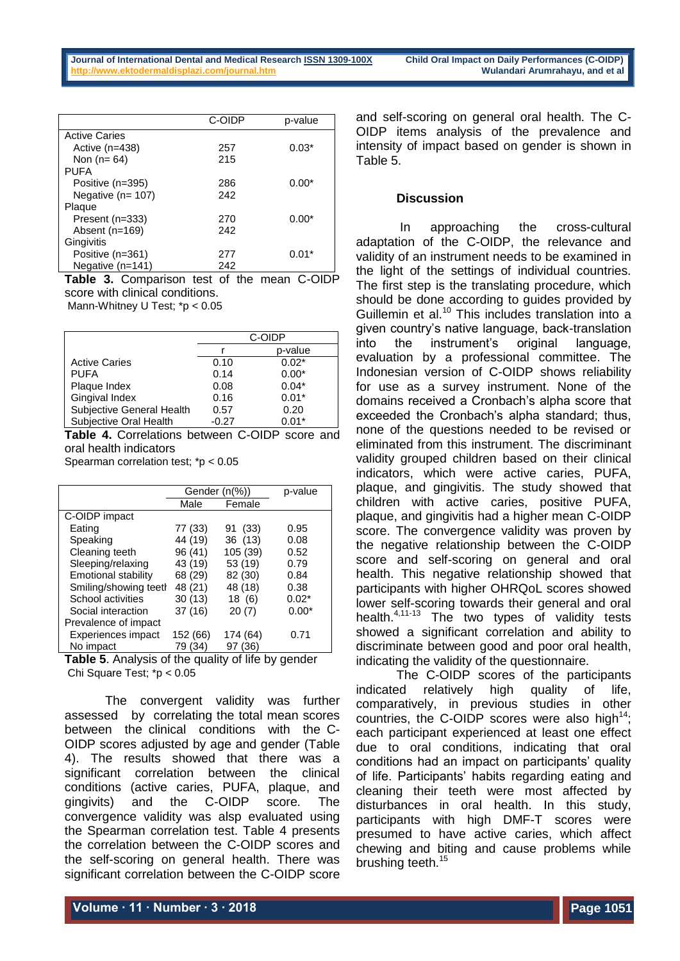|                        | C-OIDP | p-value |
|------------------------|--------|---------|
| <b>Active Caries</b>   |        |         |
| Active $(n=438)$       | 257    | $0.03*$ |
| Non $(n=64)$           | 215    |         |
| PUFA                   |        |         |
| Positive (n=395)       | 286    | $0.00*$ |
| Negative ( $n = 107$ ) | 242    |         |
| Plaque                 |        |         |
| Present (n=333)        | 270    | $0.00*$ |
| Absent (n=169)         | 242    |         |
| Gingivitis             |        |         |
| Positive (n=361)       | 277    | $0.01*$ |
| Negative $(n=141)$     | 242    |         |

**Table 3.** Comparison test of the mean C-OIDP score with clinical conditions.

Mann-Whitney U Test; \*p < 0.05

|                           | C-OIDP  |         |
|---------------------------|---------|---------|
|                           |         | p-value |
| <b>Active Caries</b>      | 0.10    | $0.02*$ |
| <b>PUFA</b>               | 0.14    | $0.00*$ |
| Plaque Index              | 0.08    | $0.04*$ |
| Gingival Index            | 0.16    | $0.01*$ |
| Subjective General Health | 0.57    | 0.20    |
| Subjective Oral Health    | $-0.27$ | $0.01*$ |

**Table 4.** Correlations between C-OIDP score and oral health indicators

Spearman correlation test; \*p < 0.05

|                       | Gender (n(%)) |            | p-value |
|-----------------------|---------------|------------|---------|
|                       | Male          | Female     |         |
| C-OIDP impact         |               |            |         |
| Eating                | 77 (33)       | 91 (33)    | 0.95    |
| Speaking              | 44 (19)       | 36 (13)    | 0.08    |
| Cleaning teeth        | 96 (41)       | 105 (39)   | 0.52    |
| Sleeping/relaxing     | 43 (19)       | 53 (19)    | 0.79    |
| Emotional stability   | 68 (29)       | 82 (30)    | 0.84    |
| Smiling/showing teeth | 48 (21)       | 48 (18)    | 0.38    |
| School activities     | 30(13)        | 18(6)      | $0.02*$ |
| Social interaction    | 37 (16)       | 20(7)      | $0.00*$ |
| Prevalence of impact  |               |            |         |
| Experiences impact    | 152 (66)      | 174 (64)   | 0.71    |
| No impact             | 79 (34)       | (36)<br>97 |         |

**Table 5**. Analysis of the quality of life by gender Chi Square Test; \*p < 0.05

The convergent validity was further assessed by correlating the total mean scores between the clinical conditions with the C-OIDP scores adjusted by age and gender (Table 4). The results showed that there was a significant correlation between the clinical conditions (active caries, PUFA, plaque, and gingivits) and the C-OIDP score. The convergence validity was alsp evaluated using the Spearman correlation test. Table 4 presents the correlation between the C-OIDP scores and the self-scoring on general health. There was significant correlation between the C-OIDP score

and self-scoring on general oral health. The C-OIDP items analysis of the prevalence and intensity of impact based on gender is shown in Table 5.

### **Discussion**

In approaching the cross-cultural adaptation of the C-OIDP, the relevance and validity of an instrument needs to be examined in the light of the settings of individual countries. The first step is the translating procedure, which should be done according to guides provided by Guillemin et al.<sup>10</sup> This includes translation into a given country's native language, back-translation into the instrument's original language, evaluation by a professional committee. The Indonesian version of C-OIDP shows reliability for use as a survey instrument. None of the domains received a Cronbach's alpha score that exceeded the Cronbach's alpha standard; thus, none of the questions needed to be revised or eliminated from this instrument. The discriminant validity grouped children based on their clinical indicators, which were active caries, PUFA, plaque, and gingivitis. The study showed that children with active caries, positive PUFA, plaque, and gingivitis had a higher mean C-OIDP score. The convergence validity was proven by the negative relationship between the C-OIDP score and self-scoring on general and oral health. This negative relationship showed that participants with higher OHRQoL scores showed lower self-scoring towards their general and oral health.<sup>4,11-13</sup> The two types of validity tests showed a significant correlation and ability to discriminate between good and poor oral health, indicating the validity of the questionnaire.

The C-OIDP scores of the participants indicated relatively high quality of life, comparatively, in previous studies in other countries, the C-OIDP scores were also high<sup>14</sup>; each participant experienced at least one effect due to oral conditions, indicating that oral conditions had an impact on participants' quality of life. Participants' habits regarding eating and cleaning their teeth were most affected by disturbances in oral health. In this study, participants with high DMF-T scores were presumed to have active caries, which affect chewing and biting and cause problems while brushing teeth.<sup>15</sup>